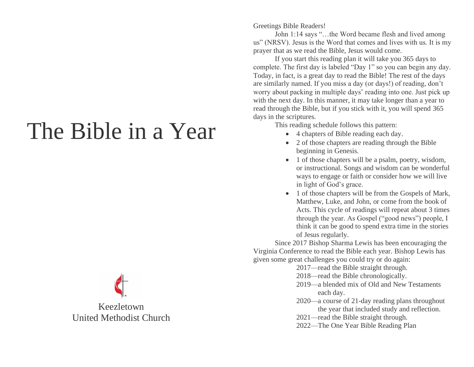## The Bible in a Year

Keezletown United Methodist Church Greetings Bible Readers!

John 1:14 says "…the Word became flesh and lived among us" (NRSV). Jesus is the Word that comes and lives with us. It is my prayer that as we read the Bible, Jesus would come.

If you start this reading plan it will take you 365 days to complete. The first day is labeled "Day 1" so you can begin any day. Today, in fact, is a great day to read the Bible! The rest of the days are similarly named. If you miss a day (or days!) of reading, don't worry about packing in multiple days' reading into one. Just pick up with the next day. In this manner, it may take longer than a year to read through the Bible, but if you stick with it, you will spend 365 days in the scriptures.

This reading schedule follows this pattern:

- 4 chapters of Bible reading each day.
- 2 of those chapters are reading through the Bible beginning in Genesis.
- 1 of those chapters will be a psalm, poetry, wisdom, or instructional. Songs and wisdom can be wonderful ways to engage or faith or consider how we will live in light of God's grace.
- 1 of those chapters will be from the Gospels of Mark, Matthew, Luke, and John, or come from the book of Acts. This cycle of readings will repeat about 3 times through the year. As Gospel ("good news") people, I think it can be good to spend extra time in the stories of Jesus regularly.

Since 2017 Bishop Sharma Lewis has been encouraging the Virginia Conference to read the Bible each year. Bishop Lewis has given some great challenges you could try or do again:

- 2017—read the Bible straight through.
- 2018—read the Bible chronologically.
- 2019—a blended mix of Old and New Testaments each day.
- 2020—a course of 21-day reading plans throughout the year that included study and reflection.
- 2021—read the Bible straight through.
- 2022—The One Year Bible Reading Plan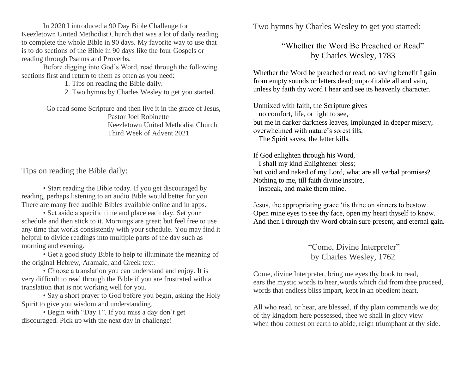In 2020 I introduced a 90 Day Bible Challenge for Keezletown United Methodist Church that was a lot of daily reading to complete the whole Bible in 90 days. My favorite way to use that is to do sections of the Bible in 90 days like the four Gospels or reading through Psalms and Proverbs.

Before digging into God's Word, read through the following sections first and return to them as often as you need:

1. Tips on reading the Bible daily.

2. Two hymns by Charles Wesley to get you started.

Go read some Scripture and then live it in the grace of Jesus, Pastor Joel Robinette Keezletown United Methodist Church Third Week of Advent 2021

Tips on reading the Bible daily:

• Start reading the Bible today. If you get discouraged by reading, perhaps listening to an audio Bible would better for you. There are many free audible Bibles available online and in apps.

• Set aside a specific time and place each day. Set your schedule and then stick to it. Mornings are great; but feel free to use any time that works consistently with your schedule. You may find it helpful to divide readings into multiple parts of the day such as morning and evening.

• Get a good study Bible to help to illuminate the meaning of the original Hebrew, Aramaic, and Greek text.

• Choose a translation you can understand and enjoy. It is very difficult to read through the Bible if you are frustrated with a translation that is not working well for you.

• Say a short prayer to God before you begin, asking the Holy Spirit to give you wisdom and understanding.

• Begin with "Day 1". If you miss a day don't get discouraged. Pick up with the next day in challenge!

Two hymns by Charles Wesley to get you started:

"Whether the Word Be Preached or Read" by Charles Wesley, 1783

Whether the Word be preached or read, no saving benefit I gain from empty sounds or letters dead; unprofitable all and vain, unless by faith thy word I hear and see its heavenly character.

Unmixed with faith, the Scripture gives no comfort, life, or light to see, but me in darker darkness leaves, implunged in deeper misery, overwhelmed with nature's sorest ills. The Spirit saves, the letter kills.

If God enlighten through his Word, I shall my kind Enlightener bless; but void and naked of my Lord, what are all verbal promises? Nothing to me, till faith divine inspire, inspeak, and make them mine.

Jesus, the appropriating grace 'tis thine on sinners to bestow. Open mine eyes to see thy face, open my heart thyself to know. And then I through thy Word obtain sure present, and eternal gain.

> "Come, Divine Interpreter" by Charles Wesley, 1762

Come, divine Interpreter, bring me eyes thy book to read, ears the mystic words to hear,words which did from thee proceed, words that endless bliss impart, kept in an obedient heart.

All who read, or hear, are blessed, if thy plain commands we do; of thy kingdom here possessed, thee we shall in glory view when thou comest on earth to abide, reign triumphant at thy side.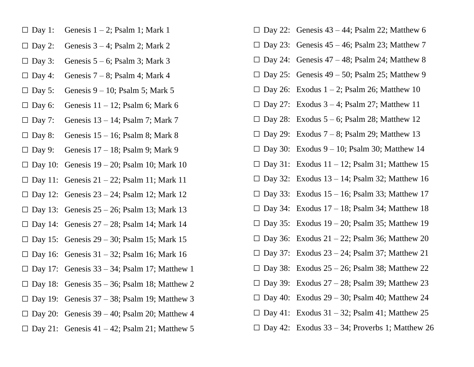- $\Box$  Day 1: Genesis 1 2; Psalm 1; Mark 1
- $\Box$  Day 2: Genesis 3 4; Psalm 2; Mark 2
- $\Box$  Day 3: Genesis 5 6; Psalm 3; Mark 3
- $\Box$  Day 4: Genesis 7 8; Psalm 4; Mark 4
- $\Box$  Day 5: Genesis 9 10; Psalm 5; Mark 5
- $\square$  Day 6: Genesis 11 12; Psalm 6; Mark 6
- $\square$  Day 7: Genesis 13 14; Psalm 7; Mark 7
- $\Box$  Day 8: Genesis 15 16; Psalm 8; Mark 8
- $\Box$  Day 9: Genesis 17 18; Psalm 9; Mark 9
- $\square$  Day 10: Genesis 19 20; Psalm 10; Mark 10
- $\square$  Day 11: Genesis 21 22; Psalm 11; Mark 11
- $\Box$  Day 12: Genesis 23 24; Psalm 12; Mark 12
- $\Box$  Day 13: Genesis 25 26; Psalm 13; Mark 13
- $\square$  Day 14: Genesis 27 28; Psalm 14; Mark 14
- $\square$  Day 15: Genesis 29 30; Psalm 15; Mark 15
- $\Box$  Day 16: Genesis 31 32; Psalm 16; Mark 16
- $\Box$  Day 17: Genesis 33 34; Psalm 17; Matthew 1
- $\square$  Day 18: Genesis 35 36; Psalm 18; Matthew 2
- $\Box$  Day 19: Genesis 37 38; Psalm 19; Matthew 3
- $\square$  Day 20: Genesis 39 40; Psalm 20; Matthew 4
- $\Box$  Day 21: Genesis 41 42; Psalm 21; Matthew 5
- $\Box$  Day 22: Genesis 43 44; Psalm 22; Matthew 6
- $\Box$  Day 23: Genesis 45 46; Psalm 23; Matthew 7
- $\Box$  Day 24: Genesis 47 48; Psalm 24; Matthew 8
- $\Box$  Day 25: Genesis 49 50; Psalm 25; Matthew 9
- $\Box$  Day 26: Exodus 1 2; Psalm 26; Matthew 10
- $\Box$  Day 27: Exodus 3 4; Psalm 27; Matthew 11
- $\Box$  Day 28: Exodus 5 6; Psalm 28; Matthew 12
- $\Box$  Day 29: Exodus 7 8; Psalm 29; Matthew 13
- $\Box$  Day 30: Exodus 9 10; Psalm 30; Matthew 14
- $\Box$  Day 31: Exodus 11 12; Psalm 31; Matthew 15
- $\Box$  Day 32: Exodus 13 14; Psalm 32; Matthew 16
- $\Box$  Day 33: Exodus 15 16; Psalm 33; Matthew 17
- $\Box$  Day 34: Exodus 17 18; Psalm 34; Matthew 18
- $\Box$  Day 35: Exodus 19 20; Psalm 35; Matthew 19
- $\Box$  Day 36: Exodus 21 22; Psalm 36; Matthew 20
- $\Box$  Day 37: Exodus 23 24; Psalm 37; Matthew 21
- $\square$  Day 38: Exodus 25 26; Psalm 38; Matthew 22
- $\Box$  Day 39: Exodus 27 28; Psalm 39; Matthew 23
- $\Box$  Day 40: Exodus 29 30; Psalm 40; Matthew 24
- $\Box$  Day 41: Exodus 31 32; Psalm 41; Matthew 25
- $\Box$  Day 42: Exodus 33 34; Proverbs 1; Matthew 26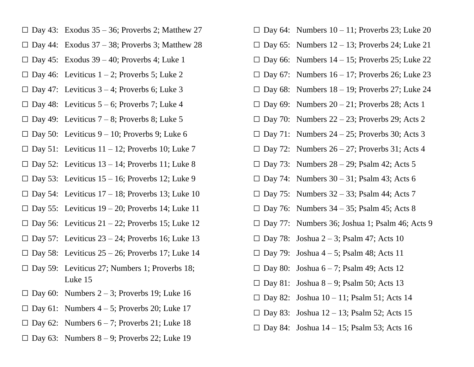- $\square$  Day 43: Exodus 35 36; Proverbs 2; Matthew 27
- $\Box$  Day 44: Exodus 37 38; Proverbs 3; Matthew 28
- $\Box$  Day 45: Exodus 39 40; Proverbs 4; Luke 1
- $\Box$  Day 46: Leviticus 1 2; Proverbs 5; Luke 2
- $\Box$  Day 47: Leviticus 3 4; Proverbs 6; Luke 3
- $\Box$  Day 48: Leviticus 5 6; Proverbs 7; Luke 4
- $\Box$  Day 49: Leviticus 7 8; Proverbs 8; Luke 5
- $\Box$  Day 50: Leviticus 9 10; Proverbs 9; Luke 6
- $\Box$  Day 51: Leviticus 11 12; Proverbs 10; Luke 7
- $\Box$  Day 52: Leviticus 13 14; Proverbs 11; Luke 8
- $\Box$  Day 53: Leviticus 15 16; Proverbs 12; Luke 9
- $\Box$  Day 54: Leviticus 17 18; Proverbs 13; Luke 10
- $\Box$  Day 55: Leviticus 19 20; Proverbs 14; Luke 11
- $\Box$  Day 56: Leviticus 21 22; Proverbs 15; Luke 12
- $\Box$  Day 57: Leviticus 23 24; Proverbs 16; Luke 13
- $\Box$  Day 58: Leviticus 25 26; Proverbs 17; Luke 14
- □ Day 59: Leviticus 27; Numbers 1; Proverbs 18; Luke 15
- $\Box$  Day 60: Numbers 2 3; Proverbs 19; Luke 16
- $\Box$  Day 61: Numbers 4 5; Proverbs 20; Luke 17
- $\Box$  Day 62: Numbers 6 7; Proverbs 21; Luke 18
- $\Box$  Day 63: Numbers 8 9; Proverbs 22; Luke 19
- $\square$  Day 64: Numbers 10 11; Proverbs 23; Luke 20
- $\Box$  Day 65: Numbers 12 13; Proverbs 24; Luke 21
- $\square$  Day 66: Numbers 14 15; Proverbs 25; Luke 22
- $\Box$  Day 67: Numbers 16 17; Proverbs 26; Luke 23
- $\square$  Day 68: Numbers 18 19; Proverbs 27; Luke 24
- $\square$  Day 69: Numbers 20 21; Proverbs 28; Acts 1
- $\square$  Day 70: Numbers 22 23; Proverbs 29; Acts 2
- $\Box$  Day 71: Numbers 24 25; Proverbs 30; Acts 3
- $\Box$  Day 72: Numbers 26 27; Proverbs 31; Acts 4
- $\Box$  Day 73: Numbers 28 29; Psalm 42; Acts 5
- $\Box$  Day 74: Numbers 30 31; Psalm 43; Acts 6
- $\square$  Day 75: Numbers 32 33; Psalm 44; Acts 7
- $\square$  Day 76: Numbers 34 35; Psalm 45; Acts 8
- $\square$  Day 77: Numbers 36; Joshua 1; Psalm 46; Acts 9
- $\Box$  Day 78: Joshua 2 3; Psalm 47; Acts 10
- $\Box$  Day 79: Joshua 4 5; Psalm 48; Acts 11
- $\Box$  Day 80: Joshua 6 7; Psalm 49; Acts 12
- $\Box$  Day 81: Joshua 8 9; Psalm 50; Acts 13
- $\Box$  Day 82: Joshua 10 11; Psalm 51; Acts 14
- $\Box$  Day 83: Joshua 12 13; Psalm 52; Acts 15
- $\Box$  Day 84: Joshua 14 15; Psalm 53; Acts 16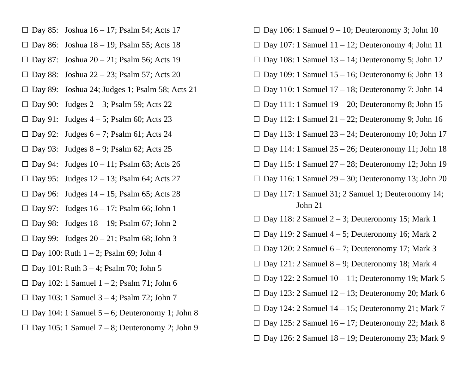- $\square$  Day 85: Joshua 16 17; Psalm 54; Acts 17
- $\square$  Day 86: Joshua 18 19; Psalm 55; Acts 18
- $\Box$  Day 87: Joshua 20 21; Psalm 56; Acts 19
- $\square$  Day 88: Joshua 22 23; Psalm 57; Acts 20
- $\square$  Day 89: Joshua 24; Judges 1; Psalm 58; Acts 21
- $\Box$  Day 90: Judges 2 3; Psalm 59; Acts 22
- $\Box$  Day 91: Judges 4 5; Psalm 60; Acts 23
- $\Box$  Day 92: Judges 6 7; Psalm 61; Acts 24
- $\Box$  Day 93: Judges 8 9; Psalm 62; Acts 25
- $\Box$  Day 94: Judges 10 11; Psalm 63; Acts 26
- $\Box$  Day 95: Judges 12 13; Psalm 64; Acts 27
- $\Box$  Day 96: Judges 14 15; Psalm 65; Acts 28
- $\Box$  Day 97: Judges 16 17; Psalm 66; John 1
- $\Box$  Day 98: Judges 18 19; Psalm 67; John 2
- $\Box$  Day 99: Judges 20 21; Psalm 68; John 3
- $\square$  Day 100: Ruth  $1 2$ ; Psalm 69; John 4
- $\square$  Day 101: Ruth 3 4; Psalm 70; John 5
- $\Box$  Day 102: 1 Samuel 1 2; Psalm 71; John 6
- $\square$  Day 103: 1 Samuel 3 4; Psalm 72; John 7
- $\Box$  Day 104: 1 Samuel 5 6; Deuteronomy 1; John 8
- $\Box$  Day 105: 1 Samuel 7 8; Deuteronomy 2; John 9
- $\Box$  Day 106: 1 Samuel 9 10; Deuteronomy 3; John 10
- $\square$  Day 107: 1 Samuel 11 12; Deuteronomy 4; John 11
- $\square$  Day 108: 1 Samuel 13 14; Deuteronomy 5; John 12
- $\square$  Day 109: 1 Samuel 15 16; Deuteronomy 6; John 13
- $\square$  Day 110: 1 Samuel 17 18; Deuteronomy 7; John 14
- $\Box$  Day 111: 1 Samuel 19 20; Deuteronomy 8; John 15
- $\Box$  Day 112: 1 Samuel 21 22; Deuteronomy 9; John 16
- $\square$  Day 113: 1 Samuel 23 24; Deuteronomy 10; John 17
- $\square$  Day 114: 1 Samuel 25 26; Deuteronomy 11; John 18
- $\square$  Day 115: 1 Samuel 27 28; Deuteronomy 12; John 19
- $\square$  Day 116: 1 Samuel 29 30; Deuteronomy 13; John 20
- □ Day 117: 1 Samuel 31; 2 Samuel 1; Deuteronomy 14; John 21
- $\square$  Day 118: 2 Samuel 2 3; Deuteronomy 15; Mark 1
- $\square$  Day 119: 2 Samuel 4 5; Deuteronomy 16; Mark 2
- $\Box$  Day 120: 2 Samuel 6 7; Deuteronomy 17; Mark 3
- $\square$  Day 121: 2 Samuel 8 9; Deuteronomy 18; Mark 4
- $\square$  Day 122: 2 Samuel 10 11; Deuteronomy 19; Mark 5
- $\square$  Day 123: 2 Samuel 12 13; Deuteronomy 20; Mark 6
- $\square$  Day 124: 2 Samuel 14 15; Deuteronomy 21; Mark 7
- $\square$  Day 125: 2 Samuel 16 17; Deuteronomy 22; Mark 8
- $\square$  Day 126: 2 Samuel 18 19; Deuteronomy 23; Mark 9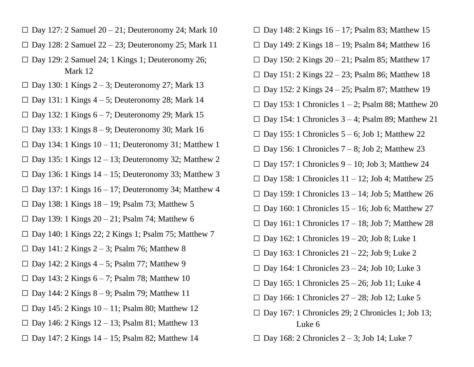- $\square$  Day 127: 2 Samuel 20 21; Deuteronomy 24; Mark 10
- $\square$  Day 128: 2 Samuel 22 23; Deuteronomy 25; Mark 11
- $\square$  Day 129: 2 Samuel 24; 1 Kings 1; Deuteronomy 26; Mark 12
- $\Box$  Day 130: 1 Kings 2 3; Deuteronomy 27; Mark 13
- $\Box$  Day 131: 1 Kings 4 5; Deuteronomy 28; Mark 14
- $\Box$  Day 132: 1 Kings 6 7; Deuteronomy 29; Mark 15
- $\Box$  Day 133: 1 Kings 8 9; Deuteronomy 30; Mark 16
- $\square$  Day 134: 1 Kings 10 11; Deuteronomy 31; Matthew 1
- $\square$  Day 135: 1 Kings 12 13; Deuteronomy 32; Matthew 2
- $\Box$  Day 136: 1 Kings 14 15; Deuteronomy 33; Matthew 3
- $\square$  Day 137: 1 Kings 16 17; Deuteronomy 34; Matthew 4
- $\square$  Day 138: 1 Kings 18 19; Psalm 73; Matthew 5
- $\Box$  Day 139: 1 Kings 20 21; Psalm 74; Matthew 6
- □ Day 140: 1 Kings 22; 2 Kings 1; Psalm 75; Matthew 7
- $\Box$  Day 141: 2 Kings 2 3; Psalm 76; Matthew 8
- $\Box$  Day 142: 2 Kings 4 5; Psalm 77; Matthew 9
- $\Box$  Day 143: 2 Kings 6 7; Psalm 78; Matthew 10
- $\Box$  Day 144: 2 Kings 8 9; Psalm 79; Matthew 11
- $\square$  Day 145: 2 Kings 10 11; Psalm 80; Matthew 12
- $\Box$  Day 146: 2 Kings 12 13; Psalm 81; Matthew 13
- $\Box$  Day 147: 2 Kings 14 15; Psalm 82; Matthew 14
- $\square$  Day 148: 2 Kings 16 17; Psalm 83; Matthew 15
- $\square$  Day 149: 2 Kings 18 19; Psalm 84; Matthew 16
- $\square$  Day 150: 2 Kings 20 21; Psalm 85; Matthew 17
- $\square$  Day 151: 2 Kings 22 23; Psalm 86; Matthew 18
- $\square$  Day 152: 2 Kings 24 25; Psalm 87; Matthew 19
- $\square$  Day 153: 1 Chronicles 1 2; Psalm 88; Matthew 20
- $\square$  Day 154: 1 Chronicles 3 4; Psalm 89; Matthew 21
- $\square$  Day 155: 1 Chronicles 5 6; Job 1; Matthew 22
- $\square$  Day 156: 1 Chronicles 7 8; Job 2; Matthew 23
- $\square$  Day 157: 1 Chronicles 9 10; Job 3; Matthew 24
- $\square$  Day 158: 1 Chronicles 11 12; Job 4; Matthew 25
- $\square$  Day 159: 1 Chronicles 13 14; Job 5; Matthew 26
- $\square$  Day 160: 1 Chronicles 15 16; Job 6; Matthew 27
- $\square$  Day 161: 1 Chronicles 17 18; Job 7; Matthew 28
- $\square$  Day 162: 1 Chronicles 19 20; Job 8; Luke 1
- $\square$  Day 163: 1 Chronicles 21 22; Job 9; Luke 2
- $\square$  Day 164: 1 Chronicles 23 24; Job 10; Luke 3
- $\square$  Day 165: 1 Chronicles 25 26; Job 11; Luke 4
- $\square$  Day 166: 1 Chronicles  $27 28$ ; Job 12; Luke 5
- $\square$  Day 167: 1 Chronicles 29; 2 Chronicles 1; Job 13; Luke 6
- $\square$  Day 168: 2 Chronicles 2 3; Job 14; Luke 7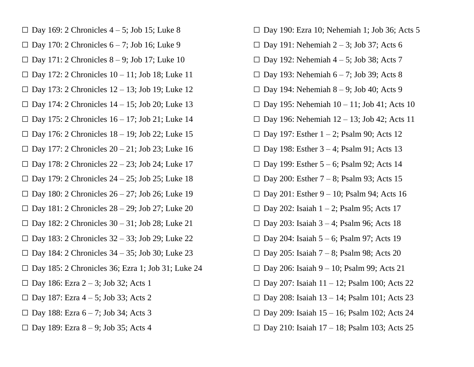- $\Box$  Day 169: 2 Chronicles 4 5; Job 15; Luke 8
- $\Box$  Day 170: 2 Chronicles 6 7; Job 16; Luke 9
- $\Box$  Day 171: 2 Chronicles 8 9; Job 17; Luke 10
- $\square$  Day 172: 2 Chronicles 10 11; Job 18; Luke 11
- $\Box$  Day 173: 2 Chronicles 12 13; Job 19; Luke 12
- $\Box$  Day 174: 2 Chronicles 14 15; Job 20; Luke 13
- $\Box$  Day 175: 2 Chronicles 16 17; Job 21; Luke 14
- $\Box$  Day 176: 2 Chronicles 18 19; Job 22; Luke 15
- $\Box$  Day 177: 2 Chronicles 20 21; Job 23; Luke 16
- $\Box$  Day 178: 2 Chronicles 22 23; Job 24; Luke 17
- $\Box$  Day 179: 2 Chronicles 24 25; Job 25; Luke 18
- $\Box$  Day 180: 2 Chronicles 26 27; Job 26; Luke 19
- $\Box$  Day 181: 2 Chronicles 28 29; Job 27; Luke 20
- $\square$  Day 182: 2 Chronicles 30 31; Job 28; Luke 21
- $\square$  Day 183: 2 Chronicles 32 33; Job 29; Luke 22
- $\Box$  Day 184: 2 Chronicles 34 35; Job 30; Luke 23
- □ Day 185: 2 Chronicles 36; Ezra 1; Job 31; Luke 24
- $\Box$  Day 186: Ezra 2 3; Job 32; Acts 1
- □ Day 187: Ezra  $4-5$ ; Job 33; Acts 2
- $\Box$  Day 188: Ezra 6 7; Job 34; Acts 3
- $\Box$  Day 189: Ezra 8 9; Job 35; Acts 4
- □ Day 190: Ezra 10; Nehemiah 1; Job 36; Acts 5
- $\Box$  Day 191: Nehemiah 2 3; Job 37; Acts 6
- $\square$  Day 192: Nehemiah 4 5; Job 38; Acts 7
- $\Box$  Day 193: Nehemiah 6 7; Job 39; Acts 8
- $\square$  Day 194: Nehemiah 8 9; Job 40; Acts 9
- $\Box$  Day 195: Nehemiah 10 11; Job 41; Acts 10
- $\square$  Day 196: Nehemiah 12 13; Job 42; Acts 11
- $\Box$  Day 197: Esther 1 2; Psalm 90; Acts 12
- $\Box$  Day 198: Esther 3 4; Psalm 91; Acts 13
- $\Box$  Day 199: Esther 5 6; Psalm 92; Acts 14
- $\Box$  Day 200: Esther 7 8; Psalm 93; Acts 15
- $\Box$  Day 201: Esther 9 10; Psalm 94; Acts 16
- $\Box$  Day 202: Isaiah 1 2; Psalm 95; Acts 17
- $\Box$  Day 203: Isaiah 3 4; Psalm 96; Acts 18
- $\Box$  Day 204: Isaiah 5 6; Psalm 97; Acts 19
- $\Box$  Day 205: Isaiah 7 8; Psalm 98; Acts 20
- $\square$  Day 206: Isaiah 9 10; Psalm 99; Acts 21
- $\Box$  Day 207: Isaiah 11 12; Psalm 100; Acts 22
- $\square$  Day 208: Isaiah 13 14; Psalm 101; Acts 23
- $\square$  Day 209: Isaiah 15 16; Psalm 102; Acts 24
- $\square$  Day 210: Isaiah 17 18; Psalm 103; Acts 25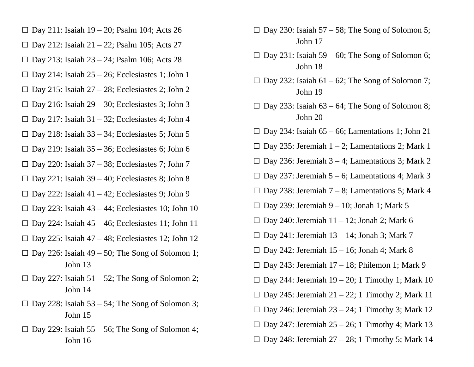- $\Box$  Day 211: Isaiah 19 20; Psalm 104; Acts 26
- $\square$  Day 212: Isaiah 21 22; Psalm 105; Acts 27
- $\Box$  Day 213: Isaiah 23 24; Psalm 106; Acts 28
- $\Box$  Day 214: Isaiah 25 26; Ecclesiastes 1; John 1
- $\Box$  Day 215: Isaiah 27 28; Ecclesiastes 2; John 2
- $\Box$  Day 216: Isaiah 29 30; Ecclesiastes 3; John 3
- $\Box$  Day 217: Isaiah 31 32; Ecclesiastes 4; John 4
- $\square$  Day 218: Isaiah 33 34; Ecclesiastes 5; John 5
- $\Box$  Day 219: Isaiah 35 36; Ecclesiastes 6; John 6
- $\square$  Day 220: Isaiah 37 38; Ecclesiastes 7; John 7
- $\Box$  Day 221: Isaiah 39 40; Ecclesiastes 8; John 8
- $\Box$  Day 222: Isaiah 41 42; Ecclesiastes 9; John 9
- $\Box$  Day 223: Isaiah 43 44; Ecclesiastes 10; John 10
- $\square$  Day 224: Isaiah 45 46; Ecclesiastes 11; John 11
- $\square$  Day 225: Isaiah 47 48; Ecclesiastes 12; John 12
- $\square$  Day 226: Isaiah 49 50; The Song of Solomon 1; John 13
- $\square$  Day 227: Isaiah 51 52; The Song of Solomon 2; John 14
- $\square$  Day 228: Isaiah 53 54; The Song of Solomon 3; John 15
- $\Box$  Day 229: Isaiah 55 56; The Song of Solomon 4; John 16
- $\square$  Day 230: Isaiah 57 58; The Song of Solomon 5; John 17
- $\Box$  Day 231: Isaiah 59 60; The Song of Solomon 6; John 18
- $\square$  Day 232: Isaiah 61 62; The Song of Solomon 7; John 19
- $\Box$  Day 233: Isaiah 63 64; The Song of Solomon 8; John 20
- $\square$  Day 234: Isaiah 65 66; Lamentations 1; John 21
- $\square$  Day 235: Jeremiah 1 2; Lamentations 2; Mark 1
- $\Box$  Day 236: Jeremiah 3 4; Lamentations 3; Mark 2
- $\Box$  Day 237: Jeremiah 5 6; Lamentations 4; Mark 3
- $\Box$  Day 238: Jeremiah 7 8; Lamentations 5; Mark 4
- $\square$  Day 239: Jeremiah 9 10; Jonah 1; Mark 5
- $\square$  Day 240: Jeremiah 11 12; Jonah 2; Mark 6
- $\Box$  Day 241: Jeremiah 13 14; Jonah 3; Mark 7
- $\Box$  Day 242: Jeremiah 15 16; Jonah 4; Mark 8
- $\Box$  Day 243: Jeremiah 17 18; Philemon 1; Mark 9
- $\square$  Day 244: Jeremiah 19 20; 1 Timothy 1; Mark 10
- $\square$  Day 245: Jeremiah 21 22; 1 Timothy 2; Mark 11
- $\Box$  Day 246: Jeremiah 23 24; 1 Timothy 3; Mark 12
- $\Box$  Day 247: Jeremiah 25 26; 1 Timothy 4; Mark 13
- $\square$  Day 248: Jeremiah 27 28; 1 Timothy 5; Mark 14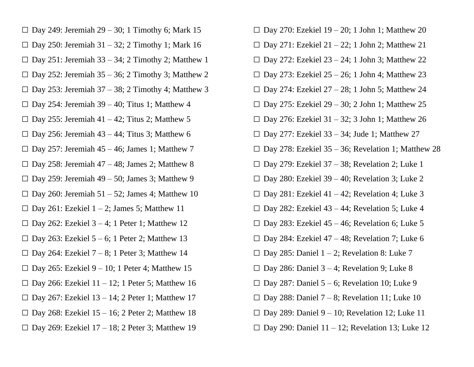- $\square$  Day 249: Jeremiah 29 30; 1 Timothy 6; Mark 15
- $\Box$  Day 250: Jeremiah 31 32; 2 Timothy 1; Mark 16
- $\square$  Day 251: Jeremiah 33 34; 2 Timothy 2; Matthew 1
- $\square$  Day 252: Jeremiah 35 36; 2 Timothy 3; Matthew 2
- $\Box$  Day 253: Jeremiah 37 38; 2 Timothy 4; Matthew 3
- $\Box$  Day 254: Jeremiah 39 40; Titus 1; Matthew 4
- $\Box$  Day 255: Jeremiah 41 42; Titus 2; Matthew 5
- $\Box$  Day 256: Jeremiah 43 44; Titus 3; Matthew 6
- $\Box$  Day 257: Jeremiah 45 46; James 1; Matthew 7
- $\Box$  Day 258: Jeremiah 47 48; James 2; Matthew 8
- $\Box$  Day 259: Jeremiah 49 50; James 3; Matthew 9
- $\square$  Day 260: Jeremiah 51 52; James 4; Matthew 10
- $\Box$  Day 261: Ezekiel 1 2; James 5; Matthew 11
- $\Box$  Day 262: Ezekiel 3 4; 1 Peter 1; Matthew 12
- $\Box$  Day 263: Ezekiel 5 6; 1 Peter 2; Matthew 13
- $\Box$  Day 264: Ezekiel 7 8; 1 Peter 3; Matthew 14
- $\Box$  Day 265: Ezekiel 9 10; 1 Peter 4; Matthew 15
- $\square$  Day 266: Ezekiel 11 12; 1 Peter 5; Matthew 16
- $\Box$  Day 267: Ezekiel 13 14; 2 Peter 1; Matthew 17
- $\square$  Day 268: Ezekiel 15 16; 2 Peter 2; Matthew 18
- $\square$  Day 269: Ezekiel 17 18; 2 Peter 3; Matthew 19
- $\square$  Day 270: Ezekiel 19 20; 1 John 1; Matthew 20
- $\Box$  Day 271: Ezekiel 21 22; 1 John 2; Matthew 21
- $\Box$  Day 272: Ezekiel 23 24; 1 John 3; Matthew 22
- $\Box$  Day 273: Ezekiel 25 26; 1 John 4; Matthew 23
- $\square$  Day 274: Ezekiel 27 28; 1 John 5; Matthew 24
- $\square$  Day 275: Ezekiel 29 30; 2 John 1; Matthew 25
- $\Box$  Day 276: Ezekiel 31 32; 3 John 1; Matthew 26
- $\square$  Day 277: Ezekiel 33 34; Jude 1; Matthew 27
- $\square$  Day 278: Ezekiel 35 36; Revelation 1; Matthew 28
- $\square$  Day 279: Ezekiel 37 38; Revelation 2; Luke 1
- $\square$  Day 280: Ezekiel 39 40; Revelation 3; Luke 2
- $\Box$  Day 281: Ezekiel 41 42; Revelation 4; Luke 3
- $\square$  Day 282: Ezekiel 43 44; Revelation 5; Luke 4
- $\Box$  Day 283: Ezekiel 45 46; Revelation 6; Luke 5
- $\square$  Day 284: Ezekiel 47 48; Revelation 7; Luke 6
- $\Box$  Day 285: Daniel 1 2; Revelation 8: Luke 7
- $\Box$  Day 286: Daniel 3 4; Revelation 9; Luke 8
- $\Box$  Day 287: Daniel 5 6; Revelation 10; Luke 9
- $\Box$  Day 288: Daniel 7 8; Revelation 11; Luke 10
- $\square$  Day 289: Daniel 9 10; Revelation 12; Luke 11
- $\square$  Day 290: Daniel 11 12; Revelation 13; Luke 12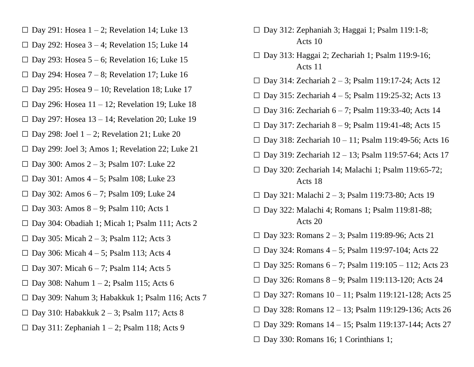- $\Box$  Day 291: Hosea 1 2; Revelation 14; Luke 13
- $\square$  Day 292: Hosea 3 4; Revelation 15; Luke 14
- $\Box$  Day 293: Hosea 5 6; Revelation 16; Luke 15
- $\Box$  Day 294: Hosea 7 8; Revelation 17; Luke 16
- $\square$  Day 295: Hosea 9 10; Revelation 18; Luke 17
- $\square$  Day 296: Hosea 11 12; Revelation 19; Luke 18
- $\square$  Day 297: Hosea 13 14; Revelation 20; Luke 19
- $\Box$  Day 298: Joel 1 2; Revelation 21; Luke 20
- $\square$  Day 299: Joel 3; Amos 1; Revelation 22; Luke 21
- □ Day 300: Amos  $2 3$ ; Psalm 107: Luke 22
- $\Box$  Day 301: Amos 4 5; Psalm 108; Luke 23
- $\Box$  Day 302: Amos 6 7; Psalm 109; Luke 24
- $\Box$  Day 303: Amos 8 9; Psalm 110; Acts 1
- $\square$  Day 304: Obadiah 1; Micah 1; Psalm 111; Acts 2
- $\Box$  Day 305: Micah 2 3; Psalm 112; Acts 3
- $\Box$  Day 306: Micah 4 5; Psalm 113; Acts 4
- $\Box$  Day 307: Micah 6 7; Psalm 114; Acts 5
- $\square$  Day 308: Nahum 1 2; Psalm 115; Acts 6
- $\square$  Day 309: Nahum 3; Habakkuk 1; Psalm 116; Acts 7
- $\square$  Day 310: Habakkuk 2 3; Psalm 117; Acts 8
- $\Box$  Day 311: Zephaniah 1 2; Psalm 118; Acts 9
- □ Day 312: Zephaniah 3; Haggai 1; Psalm 119:1-8; Acts 10
- □ Day 313: Haggai 2; Zechariah 1; Psalm 119:9-16; Acts 11
- □ Day 314: Zechariah  $2 3$ ; Psalm 119:17-24; Acts 12
- □ Day 315: Zechariah  $4 5$ ; Psalm 119:25-32; Acts 13
- □ Day 316: Zechariah  $6 7$ ; Psalm 119:33-40; Acts 14
- $\Box$  Day 317: Zechariah 8 9; Psalm 119:41-48; Acts 15
- $\Box$  Day 318: Zechariah 10 11; Psalm 119:49-56; Acts 16
- $\square$  Day 319: Zechariah 12 13; Psalm 119:57-64; Acts 17
- □ Day 320: Zechariah 14; Malachi 1; Psalm 119:65-72; Acts 18
- □ Day 321: Malachi 2 3; Psalm 119:73-80; Acts 19
- □ Day 322: Malachi 4; Romans 1; Psalm 119:81-88; Acts 20
- $\Box$  Day 323: Romans 2 3; Psalm 119:89-96; Acts 21
- $\Box$  Day 324: Romans 4 5; Psalm 119:97-104; Acts 22
- $\Box$  Day 325: Romans 6 7; Psalm 119:105 112; Acts 23
- $\Box$  Day 326: Romans 8 9; Psalm 119:113-120; Acts 24
- $\Box$  Day 327: Romans 10 11; Psalm 119:121-128; Acts 25
- $\Box$  Day 328: Romans 12 13; Psalm 119:129-136; Acts 26
- $\Box$  Day 329: Romans 14 15; Psalm 119:137-144; Acts 27
- $\square$  Day 330: Romans 16; 1 Corinthians 1;